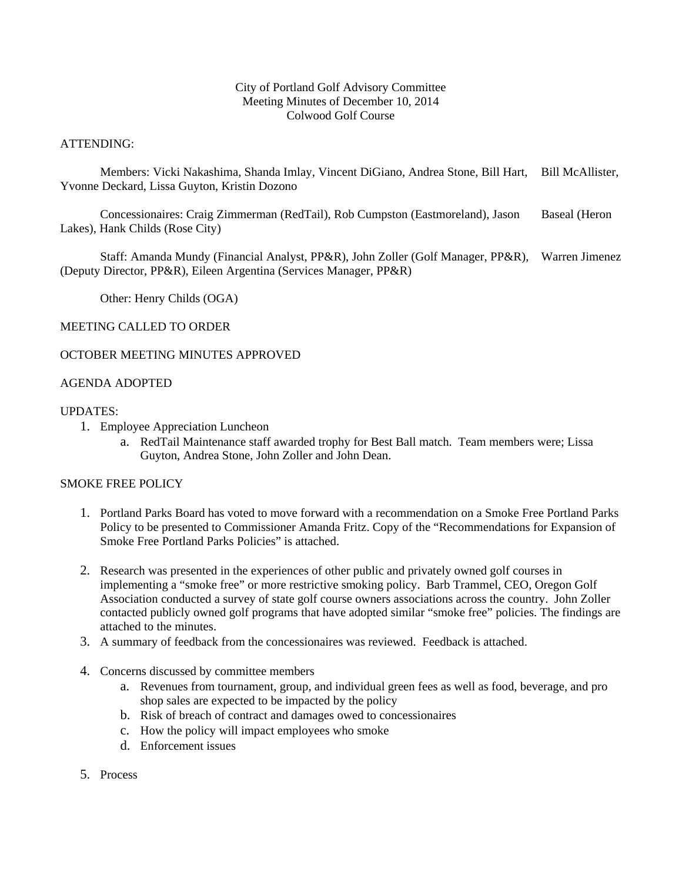## City of Portland Golf Advisory Committee Meeting Minutes of December 10, 2014 Colwood Golf Course

## ATTENDING:

 Members: Vicki Nakashima, Shanda Imlay, Vincent DiGiano, Andrea Stone, Bill Hart, Bill McAllister, Yvonne Deckard, Lissa Guyton, Kristin Dozono

 Concessionaires: Craig Zimmerman (RedTail), Rob Cumpston (Eastmoreland), Jason Baseal (Heron Lakes), Hank Childs (Rose City)

 Staff: Amanda Mundy (Financial Analyst, PP&R), John Zoller (Golf Manager, PP&R), Warren Jimenez (Deputy Director, PP&R), Eileen Argentina (Services Manager, PP&R)

Other: Henry Childs (OGA)

### MEETING CALLED TO ORDER

## OCTOBER MEETING MINUTES APPROVED

### AGENDA ADOPTED

#### UPDATES:

- 1. Employee Appreciation Luncheon
	- a. RedTail Maintenance staff awarded trophy for Best Ball match. Team members were; Lissa Guyton, Andrea Stone, John Zoller and John Dean.

## SMOKE FREE POLICY

- 1. Portland Parks Board has voted to move forward with a recommendation on a Smoke Free Portland Parks Policy to be presented to Commissioner Amanda Fritz. Copy of the "Recommendations for Expansion of Smoke Free Portland Parks Policies" is attached.
- 2. Research was presented in the experiences of other public and privately owned golf courses in implementing a "smoke free" or more restrictive smoking policy. Barb Trammel, CEO, Oregon Golf Association conducted a survey of state golf course owners associations across the country. John Zoller contacted publicly owned golf programs that have adopted similar "smoke free" policies. The findings are attached to the minutes.
- 3. A summary of feedback from the concessionaires was reviewed. Feedback is attached.
- 4. Concerns discussed by committee members
	- a. Revenues from tournament, group, and individual green fees as well as food, beverage, and pro shop sales are expected to be impacted by the policy
	- b. Risk of breach of contract and damages owed to concessionaires
	- c. How the policy will impact employees who smoke
	- d. Enforcement issues
- 5. Process